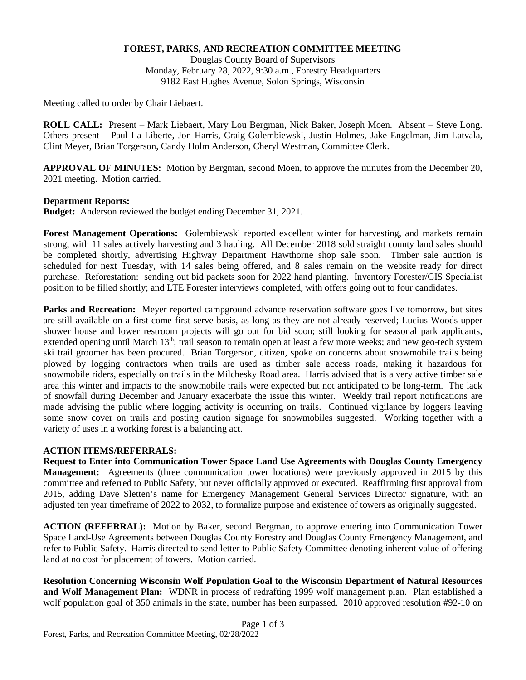### **FOREST, PARKS, AND RECREATION COMMITTEE MEETING**

Douglas County Board of Supervisors Monday, February 28, 2022, 9:30 a.m., Forestry Headquarters 9182 East Hughes Avenue, Solon Springs, Wisconsin

Meeting called to order by Chair Liebaert.

**ROLL CALL:** Present – Mark Liebaert, Mary Lou Bergman, Nick Baker, Joseph Moen. Absent – Steve Long. Others present – Paul La Liberte, Jon Harris, Craig Golembiewski, Justin Holmes, Jake Engelman, Jim Latvala, Clint Meyer, Brian Torgerson, Candy Holm Anderson, Cheryl Westman, Committee Clerk.

**APPROVAL OF MINUTES:** Motion by Bergman, second Moen, to approve the minutes from the December 20, 2021 meeting. Motion carried.

### **Department Reports:**

**Budget:** Anderson reviewed the budget ending December 31, 2021.

**Forest Management Operations:** Golembiewski reported excellent winter for harvesting, and markets remain strong, with 11 sales actively harvesting and 3 hauling. All December 2018 sold straight county land sales should be completed shortly, advertising Highway Department Hawthorne shop sale soon. Timber sale auction is scheduled for next Tuesday, with 14 sales being offered, and 8 sales remain on the website ready for direct purchase. Reforestation: sending out bid packets soon for 2022 hand planting. Inventory Forester/GIS Specialist position to be filled shortly; and LTE Forester interviews completed, with offers going out to four candidates.

**Parks and Recreation:** Meyer reported campground advance reservation software goes live tomorrow, but sites are still available on a first come first serve basis, as long as they are not already reserved; Lucius Woods upper shower house and lower restroom projects will go out for bid soon; still looking for seasonal park applicants, extended opening until March 13<sup>th</sup>; trail season to remain open at least a few more weeks; and new geo-tech system ski trail groomer has been procured. Brian Torgerson, citizen, spoke on concerns about snowmobile trails being plowed by logging contractors when trails are used as timber sale access roads, making it hazardous for snowmobile riders, especially on trails in the Milchesky Road area. Harris advised that is a very active timber sale area this winter and impacts to the snowmobile trails were expected but not anticipated to be long-term. The lack of snowfall during December and January exacerbate the issue this winter. Weekly trail report notifications are made advising the public where logging activity is occurring on trails. Continued vigilance by loggers leaving some snow cover on trails and posting caution signage for snowmobiles suggested. Working together with a variety of uses in a working forest is a balancing act.

# **ACTION ITEMS/REFERRALS:**

**Request to Enter into Communication Tower Space Land Use Agreements with Douglas County Emergency Management:** Agreements (three communication tower locations) were previously approved in 2015 by this committee and referred to Public Safety, but never officially approved or executed. Reaffirming first approval from 2015, adding Dave Sletten's name for Emergency Management General Services Director signature, with an adjusted ten year timeframe of 2022 to 2032, to formalize purpose and existence of towers as originally suggested.

**ACTION (REFERRAL):** Motion by Baker, second Bergman, to approve entering into Communication Tower Space Land-Use Agreements between Douglas County Forestry and Douglas County Emergency Management, and refer to Public Safety. Harris directed to send letter to Public Safety Committee denoting inherent value of offering land at no cost for placement of towers. Motion carried.

**Resolution Concerning Wisconsin Wolf Population Goal to the Wisconsin Department of Natural Resources and Wolf Management Plan:** WDNR in process of redrafting 1999 wolf management plan. Plan established a wolf population goal of 350 animals in the state, number has been surpassed. 2010 approved resolution #92-10 on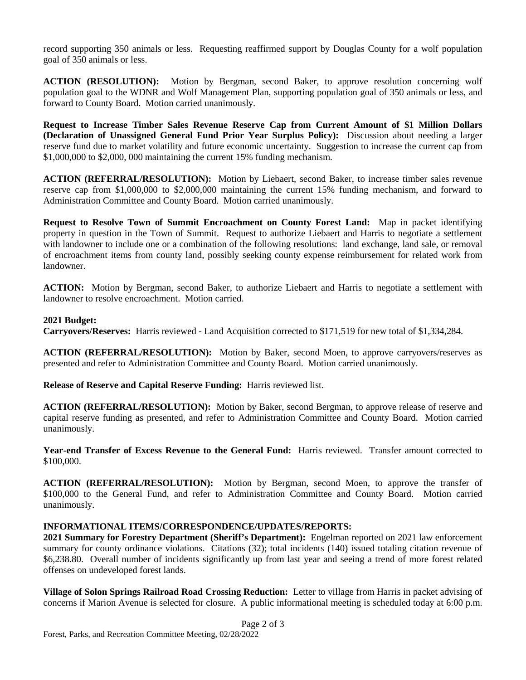record supporting 350 animals or less. Requesting reaffirmed support by Douglas County for a wolf population goal of 350 animals or less.

**ACTION (RESOLUTION):** Motion by Bergman, second Baker, to approve resolution concerning wolf population goal to the WDNR and Wolf Management Plan, supporting population goal of 350 animals or less, and forward to County Board. Motion carried unanimously.

**Request to Increase Timber Sales Revenue Reserve Cap from Current Amount of \$1 Million Dollars (Declaration of Unassigned General Fund Prior Year Surplus Policy):** Discussion about needing a larger reserve fund due to market volatility and future economic uncertainty. Suggestion to increase the current cap from \$1,000,000 to \$2,000, 000 maintaining the current 15% funding mechanism.

**ACTION (REFERRAL/RESOLUTION):** Motion by Liebaert, second Baker, to increase timber sales revenue reserve cap from \$1,000,000 to \$2,000,000 maintaining the current 15% funding mechanism, and forward to Administration Committee and County Board. Motion carried unanimously.

**Request to Resolve Town of Summit Encroachment on County Forest Land:** Map in packet identifying property in question in the Town of Summit. Request to authorize Liebaert and Harris to negotiate a settlement with landowner to include one or a combination of the following resolutions: land exchange, land sale, or removal of encroachment items from county land, possibly seeking county expense reimbursement for related work from landowner.

**ACTION:** Motion by Bergman, second Baker, to authorize Liebaert and Harris to negotiate a settlement with landowner to resolve encroachment. Motion carried.

# **2021 Budget:**

**Carryovers/Reserves:** Harris reviewed - Land Acquisition corrected to \$171,519 for new total of \$1,334,284.

**ACTION (REFERRAL/RESOLUTION):** Motion by Baker, second Moen, to approve carryovers/reserves as presented and refer to Administration Committee and County Board. Motion carried unanimously.

**Release of Reserve and Capital Reserve Funding:** Harris reviewed list.

**ACTION (REFERRAL/RESOLUTION):** Motion by Baker, second Bergman, to approve release of reserve and capital reserve funding as presented, and refer to Administration Committee and County Board. Motion carried unanimously.

**Year-end Transfer of Excess Revenue to the General Fund:** Harris reviewed. Transfer amount corrected to \$100,000.

**ACTION (REFERRAL/RESOLUTION):** Motion by Bergman, second Moen, to approve the transfer of \$100,000 to the General Fund, and refer to Administration Committee and County Board. Motion carried unanimously.

# **INFORMATIONAL ITEMS/CORRESPONDENCE/UPDATES/REPORTS:**

**2021 Summary for Forestry Department (Sheriff's Department):** Engelman reported on 2021 law enforcement summary for county ordinance violations. Citations (32); total incidents (140) issued totaling citation revenue of \$6,238.80. Overall number of incidents significantly up from last year and seeing a trend of more forest related offenses on undeveloped forest lands.

**Village of Solon Springs Railroad Road Crossing Reduction:** Letter to village from Harris in packet advising of concerns if Marion Avenue is selected for closure. A public informational meeting is scheduled today at 6:00 p.m.